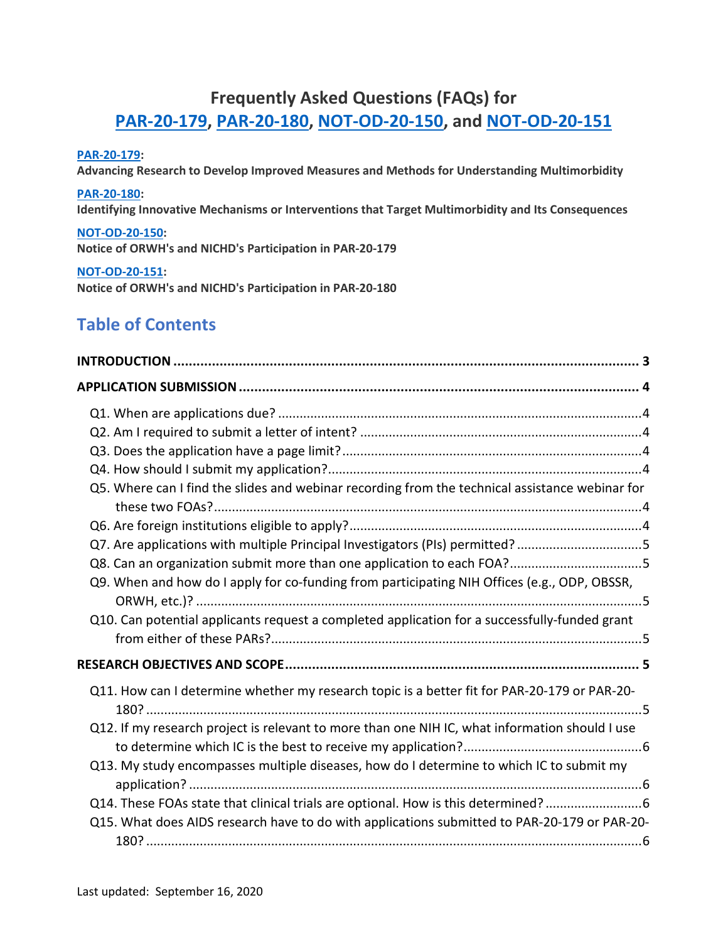# **Frequently Asked Questions (FAQs) for [PAR-20-179,](https://grants.nih.gov/grants/guide/pa-files/PAR-20-179.html) [PAR-20-180,](https://grants.nih.gov/grants/guide/pa-files/PAR-20-180.html) [NOT-OD-20-150,](https://grants.nih.gov/grants/guide/notice-files/NOT-OD-20-150.html) and [NOT-OD-20-151](https://grants.nih.gov/grants/guide/notice-files/NOT-OD-20-151.html)**

#### **[PAR-20-179:](https://grants.nih.gov/grants/guide/pa-files/PAR-20-179.html)**

**Advancing Research to Develop Improved Measures and Methods for Understanding Multimorbidity**

#### **[PAR-20-180:](https://grants.nih.gov/grants/guide/pa-files/PAR-20-180.html)**

**Identifying Innovative Mechanisms or Interventions that Target Multimorbidity and Its Consequences**

#### **[NOT-OD-20-150:](https://grants.nih.gov/grants/guide/notice-files/NOT-OD-20-150.html)**

**Notice of ORWH's and NICHD's Participation in PAR-20-179**

#### **[NOT-OD-20-151:](https://grants.nih.gov/grants/guide/notice-files/NOT-OD-20-151.html)**

**Notice of ORWH's and NICHD's Participation in PAR-20-180**

# **Table of Contents**

| Q5. Where can I find the slides and webinar recording from the technical assistance webinar for |  |
|-------------------------------------------------------------------------------------------------|--|
|                                                                                                 |  |
|                                                                                                 |  |
| Q7. Are applications with multiple Principal Investigators (PIs) permitted? 5                   |  |
| Q8. Can an organization submit more than one application to each FOA?5                          |  |
| Q9. When and how do I apply for co-funding from participating NIH Offices (e.g., ODP, OBSSR,    |  |
| Q10. Can potential applicants request a completed application for a successfully-funded grant   |  |
|                                                                                                 |  |
| Q11. How can I determine whether my research topic is a better fit for PAR-20-179 or PAR-20-    |  |
| Q12. If my research project is relevant to more than one NIH IC, what information should I use  |  |
| Q13. My study encompasses multiple diseases, how do I determine to which IC to submit my        |  |
| Q14. These FOAs state that clinical trials are optional. How is this determined? 6              |  |
| Q15. What does AIDS research have to do with applications submitted to PAR-20-179 or PAR-20-    |  |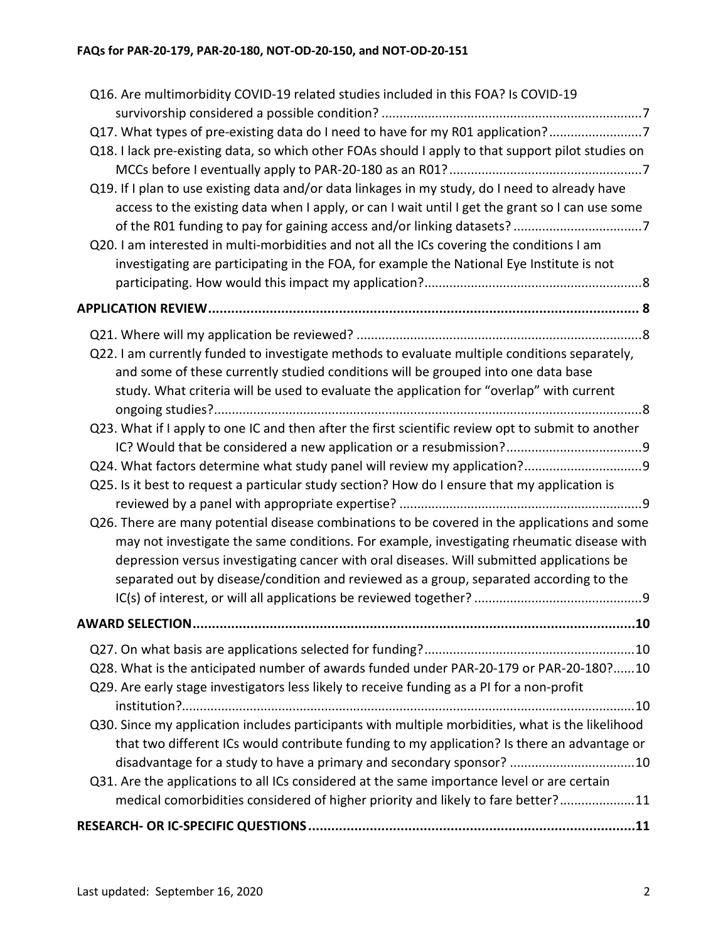| Q16. Are multimorbidity COVID-19 related studies included in this FOA? Is COVID-19                                                                                                                                                                                                                                                                                                 |  |
|------------------------------------------------------------------------------------------------------------------------------------------------------------------------------------------------------------------------------------------------------------------------------------------------------------------------------------------------------------------------------------|--|
|                                                                                                                                                                                                                                                                                                                                                                                    |  |
| Q17. What types of pre-existing data do I need to have for my R01 application?7                                                                                                                                                                                                                                                                                                    |  |
| Q18. I lack pre-existing data, so which other FOAs should I apply to that support pilot studies on                                                                                                                                                                                                                                                                                 |  |
|                                                                                                                                                                                                                                                                                                                                                                                    |  |
| Q19. If I plan to use existing data and/or data linkages in my study, do I need to already have                                                                                                                                                                                                                                                                                    |  |
| access to the existing data when I apply, or can I wait until I get the grant so I can use some                                                                                                                                                                                                                                                                                    |  |
|                                                                                                                                                                                                                                                                                                                                                                                    |  |
| Q20. I am interested in multi-morbidities and not all the ICs covering the conditions I am                                                                                                                                                                                                                                                                                         |  |
| investigating are participating in the FOA, for example the National Eye Institute is not                                                                                                                                                                                                                                                                                          |  |
|                                                                                                                                                                                                                                                                                                                                                                                    |  |
|                                                                                                                                                                                                                                                                                                                                                                                    |  |
|                                                                                                                                                                                                                                                                                                                                                                                    |  |
|                                                                                                                                                                                                                                                                                                                                                                                    |  |
| Q22. I am currently funded to investigate methods to evaluate multiple conditions separately,<br>and some of these currently studied conditions will be grouped into one data base                                                                                                                                                                                                 |  |
| study. What criteria will be used to evaluate the application for "overlap" with current                                                                                                                                                                                                                                                                                           |  |
|                                                                                                                                                                                                                                                                                                                                                                                    |  |
| Q23. What if I apply to one IC and then after the first scientific review opt to submit to another                                                                                                                                                                                                                                                                                 |  |
|                                                                                                                                                                                                                                                                                                                                                                                    |  |
|                                                                                                                                                                                                                                                                                                                                                                                    |  |
| Q25. Is it best to request a particular study section? How do I ensure that my application is                                                                                                                                                                                                                                                                                      |  |
|                                                                                                                                                                                                                                                                                                                                                                                    |  |
| Q26. There are many potential disease combinations to be covered in the applications and some<br>may not investigate the same conditions. For example, investigating rheumatic disease with<br>depression versus investigating cancer with oral diseases. Will submitted applications be<br>separated out by disease/condition and reviewed as a group, separated according to the |  |
|                                                                                                                                                                                                                                                                                                                                                                                    |  |
|                                                                                                                                                                                                                                                                                                                                                                                    |  |
| Q28. What is the anticipated number of awards funded under PAR-20-179 or PAR-20-180?10                                                                                                                                                                                                                                                                                             |  |
| Q29. Are early stage investigators less likely to receive funding as a PI for a non-profit                                                                                                                                                                                                                                                                                         |  |
|                                                                                                                                                                                                                                                                                                                                                                                    |  |
| Q30. Since my application includes participants with multiple morbidities, what is the likelihood                                                                                                                                                                                                                                                                                  |  |
| that two different ICs would contribute funding to my application? Is there an advantage or                                                                                                                                                                                                                                                                                        |  |
| disadvantage for a study to have a primary and secondary sponsor? 10                                                                                                                                                                                                                                                                                                               |  |
| Q31. Are the applications to all ICs considered at the same importance level or are certain                                                                                                                                                                                                                                                                                        |  |
| medical comorbidities considered of higher priority and likely to fare better?11                                                                                                                                                                                                                                                                                                   |  |
|                                                                                                                                                                                                                                                                                                                                                                                    |  |
|                                                                                                                                                                                                                                                                                                                                                                                    |  |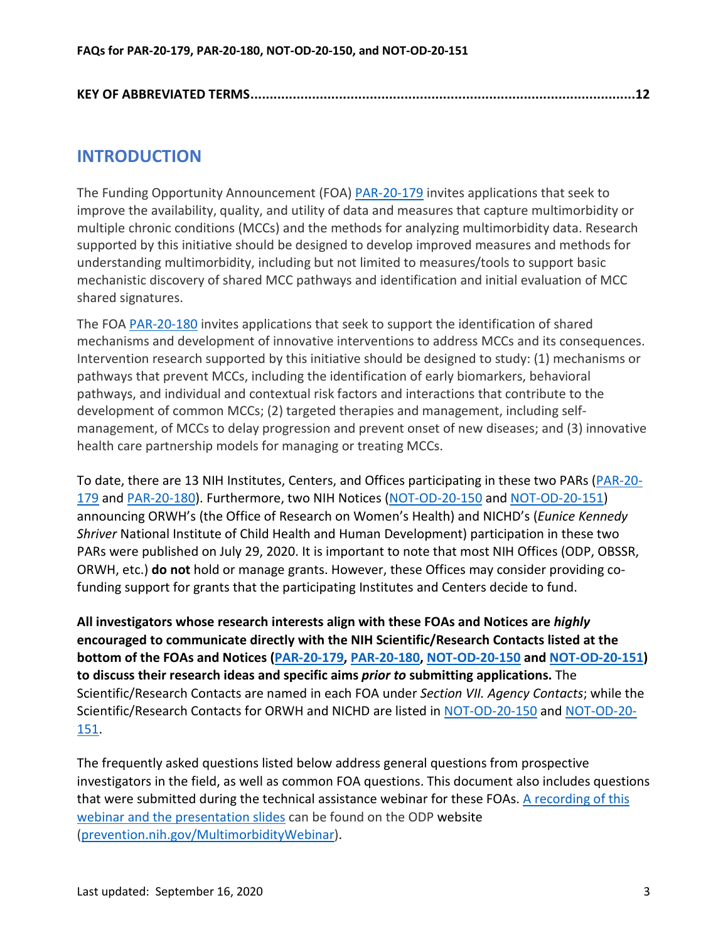## <span id="page-2-0"></span>**INTRODUCTION**

The Funding Opportunity Announcement (FOA) [PAR-20-179](https://grants.nih.gov/grants/guide/pa-files/PAR-20-179.html) invites applications that seek to improve the availability, quality, and utility of data and measures that capture multimorbidity or multiple chronic conditions (MCCs) and the methods for analyzing multimorbidity data. Research supported by this initiative should be designed to develop improved measures and methods for understanding multimorbidity, including but not limited to measures/tools to support basic mechanistic discovery of shared MCC pathways and identification and initial evaluation of MCC shared signatures.

The FOA [PAR-20-180](https://grants.nih.gov/grants/guide/pa-files/PAR-20-180.html) invites applications that seek to support the identification of shared mechanisms and development of innovative interventions to address MCCs and its consequences. Intervention research supported by this initiative should be designed to study: (1) mechanisms or pathways that prevent MCCs, including the identification of early biomarkers, behavioral pathways, and individual and contextual risk factors and interactions that contribute to the development of common MCCs; (2) targeted therapies and management, including selfmanagement, of MCCs to delay progression and prevent onset of new diseases; and (3) innovative health care partnership models for managing or treating MCCs.

To date, there are 13 NIH Institutes, Centers, and Offices participating in these two PARs [\(PAR-20-](https://grants.nih.gov/grants/guide/pa-files/PAR-20-179.html) [179](https://grants.nih.gov/grants/guide/pa-files/PAR-20-179.html) and [PAR-20-180\)](https://grants.nih.gov/grants/guide/pa-files/PAR-20-180.html). Furthermore, two NIH Notices [\(NOT-OD-20-150](https://grants.nih.gov/grants/guide/notice-files/NOT-OD-20-150.html) and [NOT-OD-20-151\)](https://grants.nih.gov/grants/guide/notice-files/NOT-OD-20-151.html) announcing ORWH's (the Office of Research on Women's Health) and NICHD's (*Eunice Kennedy Shriver* National Institute of Child Health and Human Development) participation in these two PARs were published on July 29, 2020. It is important to note that most NIH Offices (ODP, OBSSR, ORWH, etc.) **do not** hold or manage grants. However, these Offices may consider providing cofunding support for grants that the participating Institutes and Centers decide to fund.

<span id="page-2-1"></span>**All investigators whose research interests align with these FOAs and Notices are** *highly* **encouraged to communicate directly with the NIH Scientific/Research Contacts listed at the bottom of the FOAs and Notices [\(PAR-20-179,](https://grants.nih.gov/grants/guide/pa-files/PAR-20-179.html) [PAR-20-180,](https://grants.nih.gov/grants/guide/pa-files/PAR-20-180.html) [NOT-OD-20-150](https://grants.nih.gov/grants/guide/notice-files/NOT-OD-20-150.html) and [NOT-OD-20-151\)](https://grants.nih.gov/grants/guide/notice-files/NOT-OD-20-151.html) to discuss their research ideas and specific aims** *prior to* **submitting applications.** The Scientific/Research Contacts are named in each FOA under *Section VII. Agency Contacts*; while the Scientific/Research Contacts for ORWH and NICHD are listed in [NOT-OD-20-150](https://grants.nih.gov/grants/guide/notice-files/NOT-OD-20-150.html) and [NOT-OD-20-](https://grants.nih.gov/grants/guide/notice-files/NOT-OD-20-151.html) [151.](https://grants.nih.gov/grants/guide/notice-files/NOT-OD-20-151.html)

The frequently asked questions listed below address general questions from prospective investigators in the field, as well as common FOA questions. This document also includes questions that were submitted during the technical assistance webinar for these FOAs. A recording of this webinar and the presentation slides can be found on the OD[P website](https://prevention.nih.gov/funding/funding-opportunities/multimorbidity-funding-opportunity-announcements-technical-assistance-webinar) (prevention.nih.gov/MultimorbidityWebinar).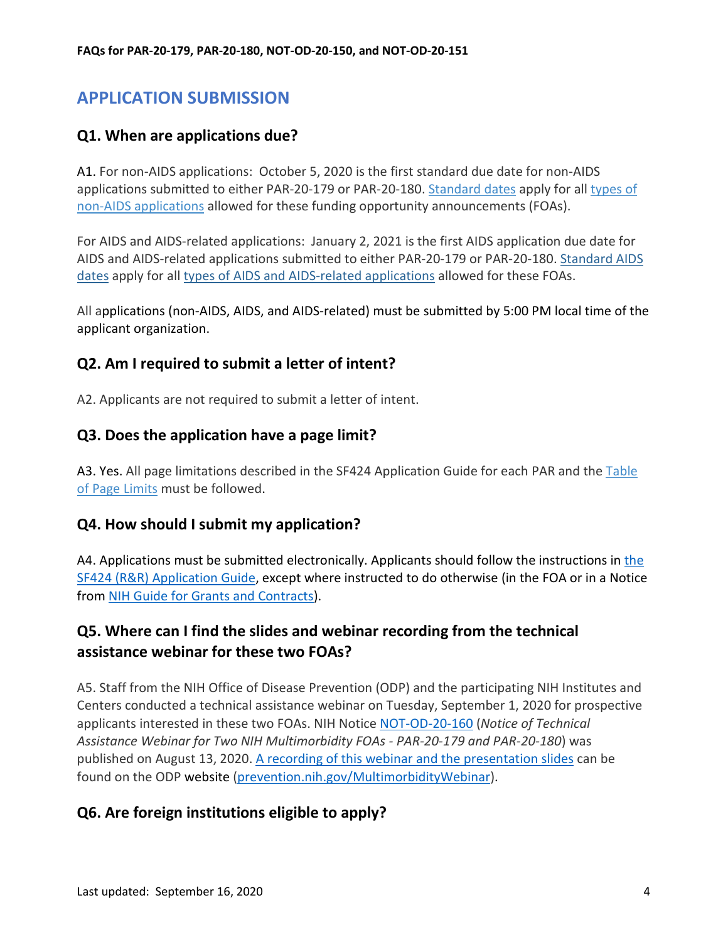# <span id="page-3-0"></span>**APPLICATION SUBMISSION**

#### <span id="page-3-1"></span>**Q1. When are applications due?**

A1. For non-AIDS applications: October 5, 2020 is the first standard due date for non-AIDS applications submitted to either PAR-20-179 or PAR-20-180. [Standard dates](https://grants.nih.gov/grants/guide/url_redirect.htm?id=11111) apply for all [types of](https://grants.nih.gov/grants/guide/pa-files/PAR-20-180.html#Application%20Types%20Allowed)  [non-AIDS applications](https://grants.nih.gov/grants/guide/pa-files/PAR-20-180.html#Application%20Types%20Allowed) allowed for these funding opportunity announcements (FOAs).

For AIDS and AIDS-related applications: January 2, 2021 is the first AIDS application due date for AIDS and AIDS-related applications submitted to either PAR-20-179 or PAR-20-180. [Standard AIDS](https://grants.nih.gov/grants/guide/url_redirect.htm?id=11112)  [dates](https://grants.nih.gov/grants/guide/url_redirect.htm?id=11112) apply for all [types of AIDS and AIDS-related applications](https://grants.nih.gov/grants/guide/pa-files/PAR-20-180.html#Application%20Types%20Allowed) allowed for these FOAs.

All applications (non-AIDS, AIDS, and AIDS-related) must be submitted by 5:00 PM local time of the applicant organization.

#### <span id="page-3-2"></span>**Q2. Am I required to submit a letter of intent?**

<span id="page-3-3"></span>A2. Applicants are not required to submit a letter of intent.

#### **Q3. Does the application have a page limit?**

A3. Yes. All page limitations described in the SF424 Application Guide for each PAR and the Table [of Page Limits](https://grants.nih.gov/grants/guide/url_redirect.htm?id=11133) must be followed.

#### <span id="page-3-4"></span>**Q4. How should I submit my application?**

A4. Applications must be submitted electronically. Applicants should follow [the](https://grants.nih.gov/grants/how-to-apply-application-guide.html) instructions in the [SF424 \(R&R\) Application Guide,](https://grants.nih.gov/grants/how-to-apply-application-guide.html) except where instructed to do otherwise (in the FOA or in a Notice from [NIH Guide for Grants and Contracts\)](https://grants.nih.gov/funding/index.htm).

#### <span id="page-3-5"></span>**Q5. Where can I find the slides and webinar recording from the technical assistance webinar for these two FOAs?**

A5. Staff from the NIH Office of Disease Prevention (ODP) and the participating NIH Institutes and Centers conducted a technical assistance webinar on Tuesday, September 1, 2020 for prospective applicants interested in these two FOAs. NIH Notice [NOT-OD-20-160](https://grants.nih.gov/grants/guide/notice-files/NOT-OD-20-160.html) (*Notice of Technical Assistance Webinar for Two NIH Multimorbidity FOAs - PAR-20-179 and PAR-20-180*) was published on August 13, 2020. A recording of this webinar and the presentation slides can be found on t[he ODP we](https://prevention.nih.gov/funding/funding-opportunities/multimorbidity-funding-opportunity-announcements-technical-assistance-webinar)bsite (prevention.nih.gov/MultimorbidityWebinar).

#### <span id="page-3-6"></span>**Q6. Are foreign institutions eligible to apply?**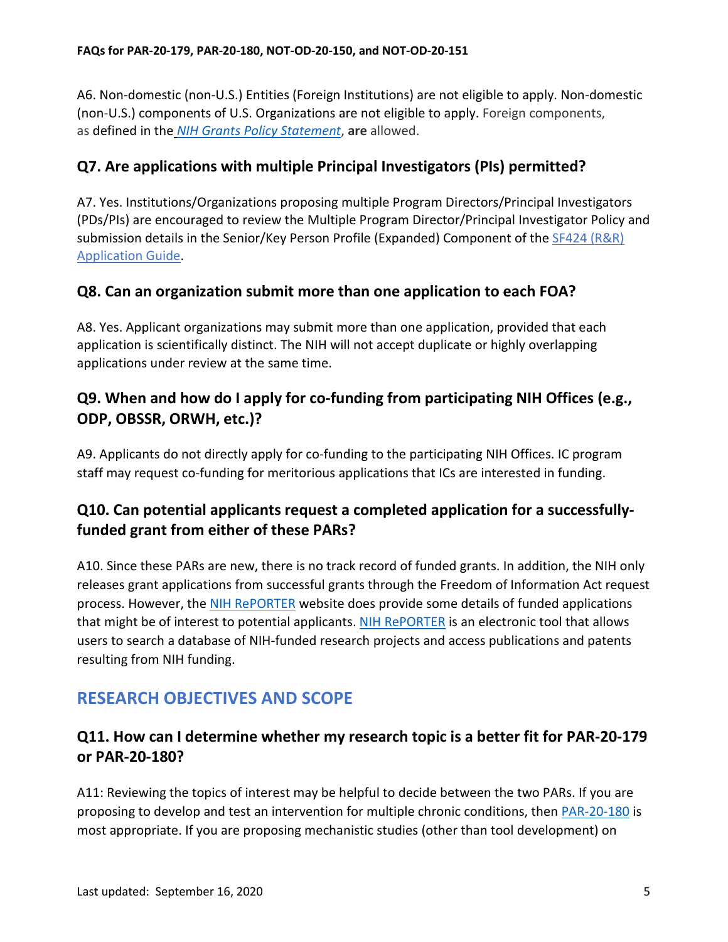A6. Non-domestic (non-U.S.) Entities (Foreign Institutions) are not eligible to apply. Non-domestic (non-U.S.) components of U.S. Organizations are not eligible to apply. Foreign components, as defined in the *[NIH Grants Policy Statement](https://grants.nih.gov/grants/policy/nihgps/HTML5/section_1/1.2_definition_of_terms.htm)*, **are** allowed.

### <span id="page-4-0"></span>**Q7. Are applications with multiple Principal Investigators (PIs) permitted?**

A7. Yes. Institutions/Organizations proposing multiple Program Directors/Principal Investigators (PDs/PIs) are encouraged to review the Multiple Program Director/Principal Investigator Policy and submission details in the Senior/Key Person Profile (Expanded) Component of the SF424 (R&R) [Application Guide.](https://grants.nih.gov/grants/how-to-apply-application-guide.html)

#### <span id="page-4-1"></span>**Q8. Can an organization submit more than one application to each FOA?**

A8. Yes. Applicant organizations may submit more than one application, provided that each application is scientifically distinct. The NIH will not accept duplicate or highly overlapping applications under review at the same time.

### <span id="page-4-2"></span>**Q9. When and how do I apply for co-funding from participating NIH Offices (e.g., ODP, OBSSR, ORWH, etc.)?**

A9. Applicants do not directly apply for co-funding to the participating NIH Offices. IC program staff may request co-funding for meritorious applications that ICs are interested in funding.

## <span id="page-4-3"></span>**Q10. Can potential applicants request a completed application for a successfullyfunded grant from either of these PARs?**

A10. Since these PARs are new, there is no track record of funded grants. In addition, the NIH only releases grant applications from successful grants through the Freedom of Information Act request process. However, the [NIH RePORTER](https://projectreporter.nih.gov/reporter.cfm) website does provide some details of funded applications that might be of interest to potential applicants. [NIH RePORTER](https://projectreporter.nih.gov/reporter.cfm) is an electronic tool that allows users to search a database of NIH-funded research projects and access publications and patents resulting from NIH funding.

# <span id="page-4-4"></span>**RESEARCH OBJECTIVES AND SCOPE**

## <span id="page-4-5"></span>**Q11. How can I determine whether my research topic is a better fit for PAR-20-179 or PAR-20-180?**

A11: Reviewing the topics of interest may be helpful to decide between the two PARs. If you are proposing to develop and test an intervention for multiple chronic conditions, then [PAR-20-180](https://grants.nih.gov/grants/guide/pa-files/PAR-20-180.html) is most appropriate. If you are proposing mechanistic studies (other than tool development) on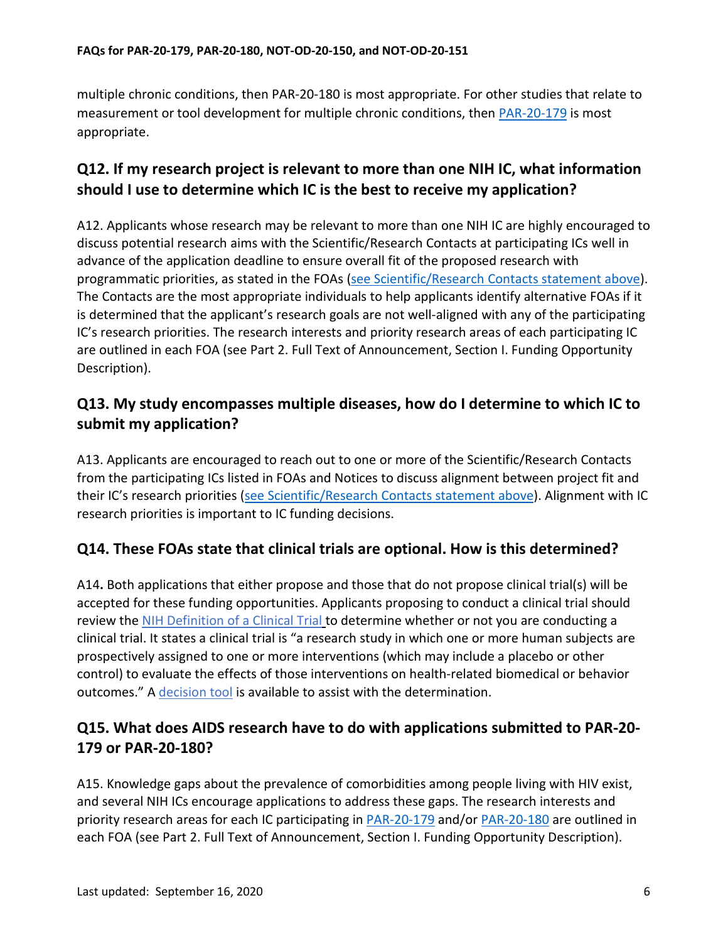multiple chronic conditions, then PAR-20-180 is most appropriate. For other studies that relate to measurement or tool development for multiple chronic conditions, then [PAR-20-179](https://grants.nih.gov/grants/guide/pa-files/PAR-20-179.html) is most appropriate.

## <span id="page-5-0"></span>**Q12. If my research project is relevant to more than one NIH IC, what information should I use to determine which IC is the best to receive my application?**

A12. Applicants whose research may be relevant to more than one NIH IC are highly encouraged to discuss potential research aims with the Scientific/Research Contacts at participating ICs well in advance of the application deadline to ensure overall fit of the proposed research with programmatic priorities, as stated in the FOAs [\(see Scientific/Research Contacts statement above\)](#page-2-1). The Contacts are the most appropriate individuals to help applicants identify alternative FOAs if it is determined that the applicant's research goals are not well-aligned with any of the participating IC's research priorities. The research interests and priority research areas of each participating IC are outlined in each FOA (see Part 2. Full Text of Announcement, Section I. Funding Opportunity Description).

## <span id="page-5-1"></span>**Q13. My study encompasses multiple diseases, how do I determine to which IC to submit my application?**

A13. Applicants are encouraged to reach out to one or more of the Scientific/Research Contacts from the participating ICs listed in FOAs and Notices to discuss alignment between project fit and their IC's research priorities [\(see Scientific/Research Contacts statement above\)](#page-2-1). Alignment with IC research priorities is important to IC funding decisions.

#### <span id="page-5-2"></span>**Q14. These FOAs state that clinical trials are optional. How is this determined?**

A14**.** Both applications that either propose and those that do not propose clinical trial(s) will be accepted for these funding opportunities. Applicants proposing to conduct a clinical trial should review the [NIH Definition of a Clinical Trial](https://grants.nih.gov/policy/clinical-trials/definition.htm) to determine whether or not you are conducting a clinical trial. It states a clinical trial is "a research study in which one or more human subjects are prospectively assigned to one or more interventions (which may include a placebo or other control) to evaluate the effects of those interventions on health-related biomedical or behavior outcomes." A [decision tool](https://grants.nih.gov/ct-decision/index.htm) is available to assist with the determination.

## <span id="page-5-3"></span>**Q15. What does AIDS research have to do with applications submitted to PAR-20- 179 or PAR-20-180?**

A15. Knowledge gaps about the prevalence of comorbidities among people living with HIV exist, and several NIH ICs encourage applications to address these gaps. The research interests and priority research areas for each IC participating in [PAR-20-179](https://grants.nih.gov/grants/guide/pa-files/PAR-20-179.html) and/or [PAR-20-180](https://grants.nih.gov/grants/guide/pa-files/PAR-20-180.html) are outlined in each FOA (see Part 2. Full Text of Announcement, Section I. Funding Opportunity Description).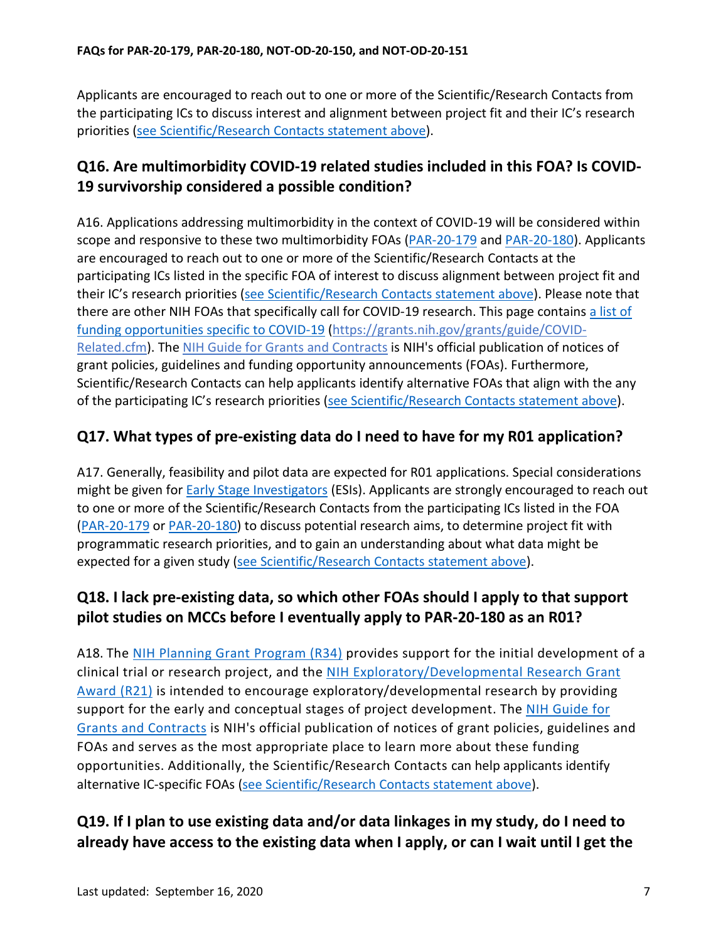Applicants are encouraged to reach out to one or more of the Scientific/Research Contacts from the participating ICs to discuss interest and alignment between project fit and their IC's research priorities [\(see Scientific/Research Contacts statement above\)](#page-2-1).

## <span id="page-6-0"></span>**Q16. Are multimorbidity COVID-19 related studies included in this FOA? Is COVID-19 survivorship considered a possible condition?**

A16. Applications addressing multimorbidity in the context of COVID-19 will be considered within scope and responsive to these two multimorbidity FOAs [\(PAR-20-179](https://grants.nih.gov/grants/guide/pa-files/PAR-20-179.html) and [PAR-20-180\)](https://grants.nih.gov/grants/guide/pa-files/PAR-20-180.html). Applicants are encouraged to reach out to one or more of the Scientific/Research Contacts at the participating ICs listed in the specific FOA of interest to discuss alignment between project fit and their IC's research priorities [\(see Scientific/Research Contacts statement above\)](#page-2-1). Please note that there are other NIH FOAs that specifically call for COVID-19 research. Thi[s page](https://grants.nih.gov/grants/guide/COVID-Related.cfm) contains a list of funding opportunities specific to COVID-19 [\(https://grants.nih.gov/grants/guide/COVID-](https://grants.nih.gov/grants/guide/COVID-Related.cfm)[Related.cfm\)](https://grants.nih.gov/grants/guide/COVID-Related.cfm). Th[e NIH Guide for Grants and Contracts](https://grants.nih.gov/funding/searchguide/index.html#/) is NIH's official publication of notices of grant policies, guidelines and funding opportunity announcements (FOAs). Furthermore, Scientific/Research Contacts can help applicants identify alternative FOAs that align with the any of the participating IC's research priorities [\(see Scientific/Research Contacts statement above\)](#page-2-1).

## <span id="page-6-1"></span>**Q17. What types of pre-existing data do I need to have for my R01 application?**

A17. Generally, feasibility and pilot data are expected for R01 applications. Special considerations might be given for **Early Stage Investigators** (ESIs). Applicants are strongly encouraged to reach out to one or more of the Scientific/Research Contacts from the participating ICs listed in the FOA [\(PAR-20-179](https://grants.nih.gov/grants/guide/pa-files/PAR-20-179.html) or [PAR-20-180\)](https://grants.nih.gov/grants/guide/pa-files/PAR-20-180.html) to discuss potential research aims, to determine project fit with programmatic research priorities, and to gain an understanding about what data might be expected for a given study [\(see Scientific/Research Contacts statement above\)](#page-2-1).

## <span id="page-6-2"></span>**Q18. I lack pre-existing data, so which other FOAs should I apply to that support pilot studies on MCCs before I eventually apply to PAR-20-180 as an R01?**

A18. The [NIH Planning Grant Program \(R34\)](https://grants.nih.gov/grants/funding/r34.htm) provides support for the initial development of a clinical trial or research project, and the [NIH Exploratory/Developmental Research Grant](https://grants.nih.gov/grants/funding/r21.htm)  [Award \(R21\)](https://grants.nih.gov/grants/funding/r21.htm) is intended to encourage exploratory/developmental research by providing support for the early and conceptual stages of project development. The [NIH Guide for](https://grants.nih.gov/funding/searchguide/index.html#/)  [Grants and Contracts](https://grants.nih.gov/funding/searchguide/index.html#/) is NIH's official publication of notices of grant policies, guidelines and FOAs and serves as the most appropriate place to learn more about these funding opportunities. Additionally, the Scientific/Research Contacts can help applicants identify alternative IC-specific FOAs [\(see Scientific/Research Contacts statement above\)](#page-2-1).

## <span id="page-6-3"></span>**Q19. If I plan to use existing data and/or data linkages in my study, do I need to already have access to the existing data when I apply, or can I wait until I get the**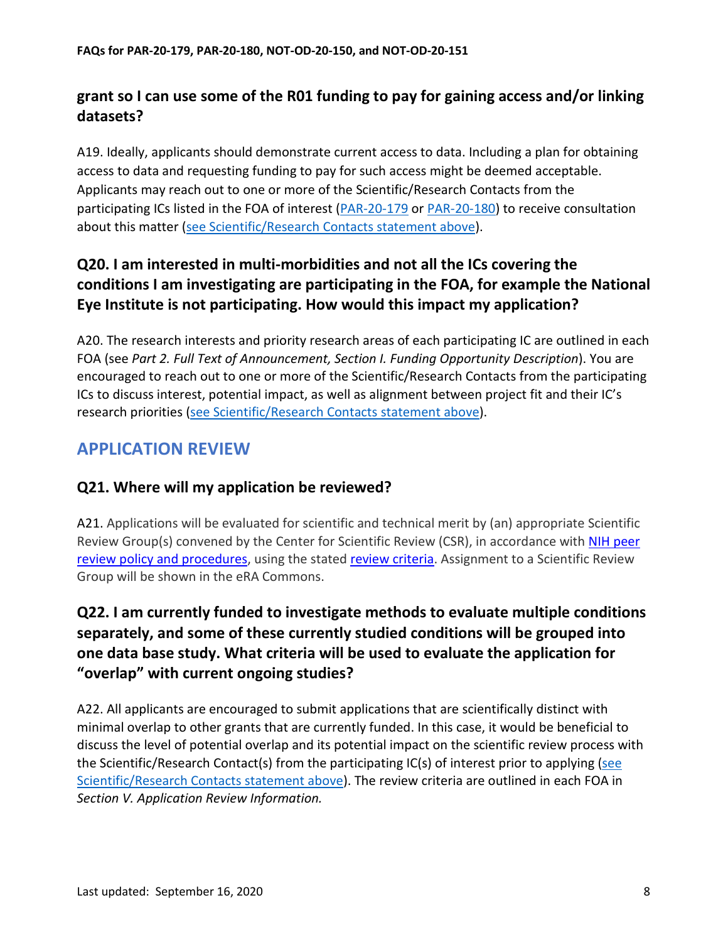## **grant so I can use some of the R01 funding to pay for gaining access and/or linking datasets?**

A19. Ideally, applicants should demonstrate current access to data. Including a plan for obtaining access to data and requesting funding to pay for such access might be deemed acceptable. Applicants may reach out to one or more of the Scientific/Research Contacts from the participating ICs listed in the FOA of interest [\(PAR-20-179](https://grants.nih.gov/grants/guide/pa-files/PAR-20-179.html) or [PAR-20-180\)](https://grants.nih.gov/grants/guide/pa-files/PAR-20-180.html) to receive consultation about this matter [\(see Scientific/Research Contacts statement above\)](#page-2-1).

# <span id="page-7-0"></span>**Q20. I am interested in multi-morbidities and not all the ICs covering the conditions I am investigating are participating in the FOA, for example the National Eye Institute is not participating. How would this impact my application?**

A20. The research interests and priority research areas of each participating IC are outlined in each FOA (see *Part 2. Full Text of Announcement, Section I. Funding Opportunity Description*). You are encouraged to reach out to one or more of the Scientific/Research Contacts from the participating ICs to discuss interest, potential impact, as well as alignment between project fit and their IC's research priorities [\(see Scientific/Research Contacts statement above\)](#page-2-1).

# <span id="page-7-1"></span>**APPLICATION REVIEW**

#### <span id="page-7-2"></span>**Q21. Where will my application be reviewed?**

A21. Applications will be evaluated for scientific and technical merit by (an) appropriate Scientific Review Group(s) convened by the Center for Scientific Review (CSR), in accordance with NIH peer [review policy and procedures,](https://grants.nih.gov/grants/guide/url_redirect.htm?id=11154) using the stated review criteria. Assignment to a Scientific Review Group will be shown in the eRA Commons.

# <span id="page-7-3"></span>**Q22. I am currently funded to investigate methods to evaluate multiple conditions separately, and some of these currently studied conditions will be grouped into one data base study. What criteria will be used to evaluate the application for "overlap" with current ongoing studies?**

A22. All applicants are encouraged to submit applications that are scientifically distinct with minimal overlap to other grants that are currently funded. In this case, it would be beneficial to discuss the level of potential overlap and its potential impact on the scientific review process with the Scientific/Research Contact(s) from the participating IC(s) of interest prior to applying [\(see](#page-2-1)  [Scientific/Research Contacts statement above\)](#page-2-1). The review criteria are outlined in each FOA in *Section V. Application Review Information.*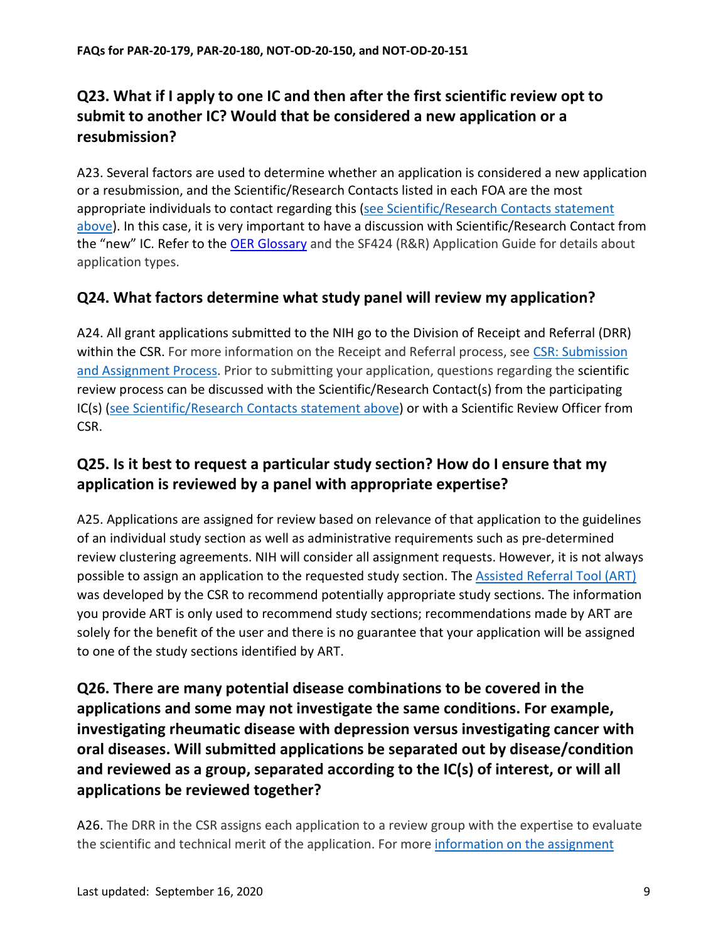# <span id="page-8-0"></span>**Q23. What if I apply to one IC and then after the first scientific review opt to submit to another IC? Would that be considered a new application or a resubmission?**

A23. Several factors are used to determine whether an application is considered a new application or a resubmission, and the Scientific/Research Contacts listed in each FOA are the most appropriate individuals to contact regarding this (see Scientific/Research Contacts statement [above\)](#page-2-1). In this case, it is very important to have a discussion with Scientific/Research Contact from the "new" IC. Refer to the [OER Glossary](https://grants.nih.gov/grants/guide/url_redirect.htm?id=11116) and the SF424 (R&R) Application Guide for details about application types.

## <span id="page-8-1"></span>**Q24. What factors determine what study panel will review my application?**

A24. All grant applications submitted to the NIH go to the Division of Receipt and Referral (DRR) within the CSR. For more information on the Receipt and Referral process, see [CSR: Submission](https://public.csr.nih.gov/ForApplicants/SubmissionAndAssignment)  [and Assignment Process.](https://public.csr.nih.gov/ForApplicants/SubmissionAndAssignment) Prior to submitting your application, questions regarding the scientific review process can be discussed with the Scientific/Research Contact(s) from the participating IC(s) [\(see Scientific/Research Contacts statement above\)](#page-2-1) or with a Scientific Review Officer from CSR.

# <span id="page-8-2"></span>**Q25. Is it best to request a particular study section? How do I ensure that my application is reviewed by a panel with appropriate expertise?**

A25. Applications are assigned for review based on relevance of that application to the guidelines of an individual study section as well as administrative requirements such as pre-determined review clustering agreements. NIH will consider all assignment requests. However, it is not always possible to assign an application to the requested study section. The [Assisted Referral Tool \(ART\)](https://public.csr.nih.gov/ForApplicants/ArtHome) was developed by the CSR to recommend potentially appropriate study sections. The information you provide ART is only used to recommend study sections; recommendations made by ART are solely for the benefit of the user and there is no guarantee that your application will be assigned to one of the study sections identified by ART.

<span id="page-8-3"></span>**Q26. There are many potential disease combinations to be covered in the applications and some may not investigate the same conditions. For example, investigating rheumatic disease with depression versus investigating cancer with oral diseases. Will submitted applications be separated out by disease/condition and reviewed as a group, separated according to the IC(s) of interest, or will all applications be reviewed together?**

A26. The DRR in the CSR assigns each application to a review group with the expertise to evaluate the scientific and technical merit of the application. For more information on the assignment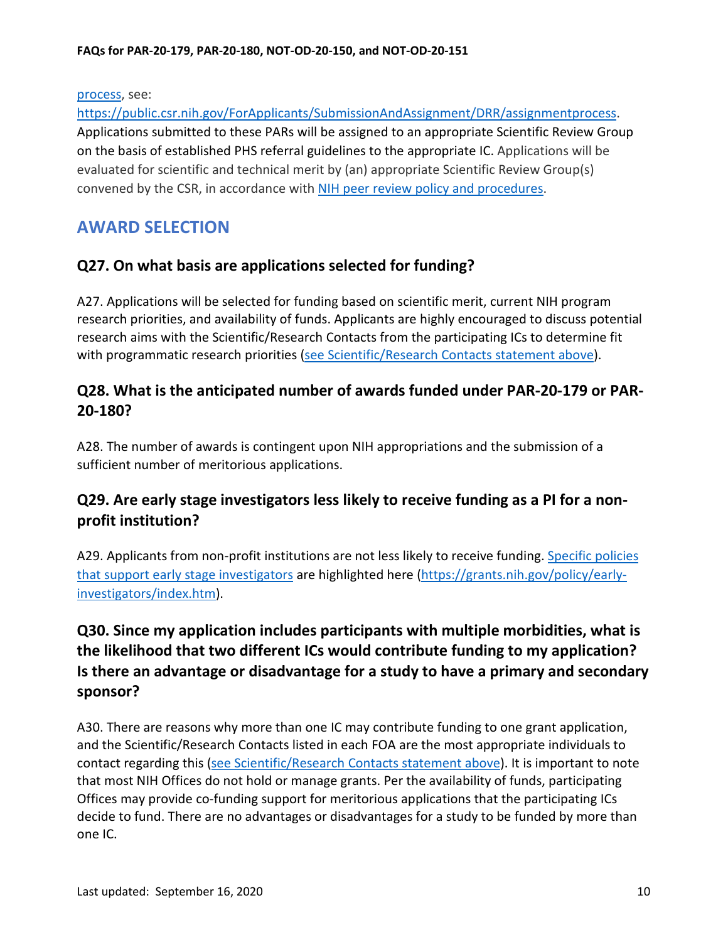process, see:

[https://public.csr.nih.gov/ForApplicants/SubmissionAndAssignment/DRR/assignmentprocess.](https://public.csr.nih.gov/ForApplicants/SubmissionAndAssignment/DRR/assignmentprocess) Applications submitted to these PARs will be assigned to an appropriate Scientific Review Group on the basis of established PHS referral guidelines to the appropriate IC. Applications will be evaluated for scientific and technical merit by (an) appropriate Scientific Review Group(s) convened by the CSR, in accordance with [NIH peer review policy and procedures.](https://grants.nih.gov/grants/guide/url_redirect.htm?id=11154)

# <span id="page-9-0"></span>**AWARD SELECTION**

#### <span id="page-9-1"></span>**Q27. On what basis are applications selected for funding?**

A27. Applications will be selected for funding based on scientific merit, current NIH program research priorities, and availability of funds. Applicants are highly encouraged to discuss potential research aims with the Scientific/Research Contacts from the participating ICs to determine fit with programmatic research priorities [\(see Scientific/Research Contacts statement above\)](#page-2-1).

### <span id="page-9-2"></span>**Q28. What is the anticipated number of awards funded under PAR-20-179 or PAR-20-180?**

A28. The number of awards is contingent upon NIH appropriations and the submission of a sufficient number of meritorious applications.

## <span id="page-9-3"></span>**Q29. Are early stage investigators less likely to receive funding as a PI for a nonprofit institution?**

A29. Applicants from non-profit institutions are not less likely to receive funding. Specific policies that support early stage investigators are highlighted [here \(https://grants.nih.gov/policy/early](https://grants.nih.gov/policy/early-investigators/index.htm)[investigators/index.htm\)](https://grants.nih.gov/policy/early-investigators/index.htm).

# <span id="page-9-4"></span>**Q30. Since my application includes participants with multiple morbidities, what is the likelihood that two different ICs would contribute funding to my application? Is there an advantage or disadvantage for a study to have a primary and secondary sponsor?**

A30. There are reasons why more than one IC may contribute funding to one grant application, and the Scientific/Research Contacts listed in each FOA are the most appropriate individuals to contact regarding this [\(see Scientific/Research Contacts statement above\)](#page-2-1). It is important to note that most NIH Offices do not hold or manage grants. Per the availability of funds, participating Offices may provide co-funding support for meritorious applications that the participating ICs decide to fund. There are no advantages or disadvantages for a study to be funded by more than one IC.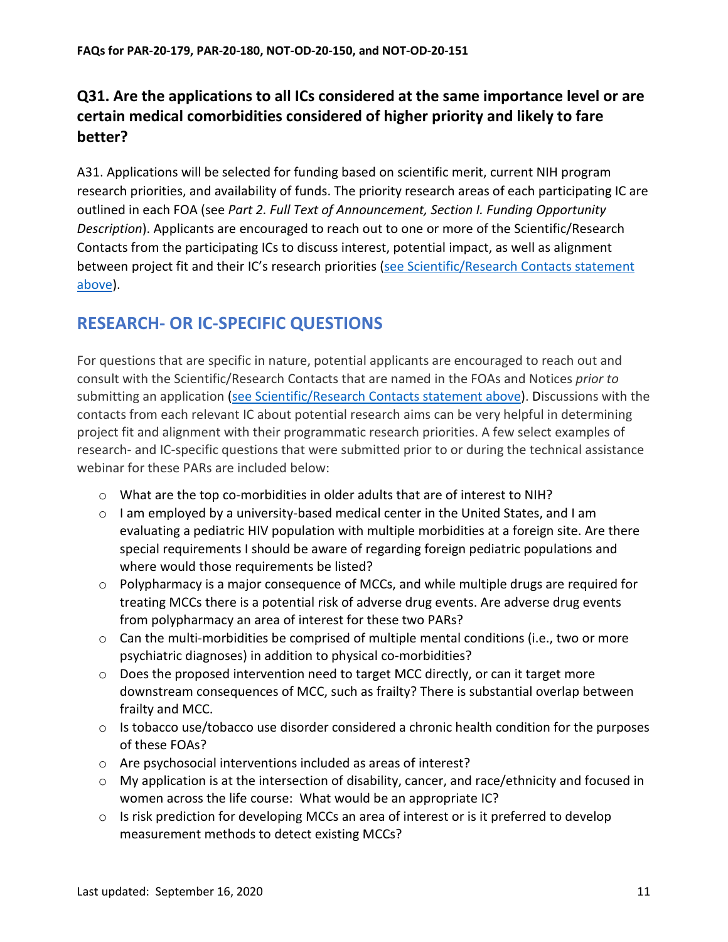# <span id="page-10-0"></span>**Q31. Are the applications to all ICs considered at the same importance level or are certain medical comorbidities considered of higher priority and likely to fare better?**

A31. Applications will be selected for funding based on scientific merit, current NIH program research priorities, and availability of funds. The priority research areas of each participating IC are outlined in each FOA (see *Part 2. Full Text of Announcement, Section I. Funding Opportunity Description*). Applicants are encouraged to reach out to one or more of the Scientific/Research Contacts from the participating ICs to discuss interest, potential impact, as well as alignment between project fit and their IC's research priorities [\(see Scientific/Research Contacts statement](#page-2-1)  [above\)](#page-2-1).

# <span id="page-10-1"></span>**RESEARCH- OR IC-SPECIFIC QUESTIONS**

For questions that are specific in nature, potential applicants are encouraged to reach out and consult with the Scientific/Research Contacts that are named in the FOAs and Notices *prior to* submitting an application [\(see Scientific/Research Contacts statement above\)](#page-2-1). Discussions with the contacts from each relevant IC about potential research aims can be very helpful in determining project fit and alignment with their programmatic research priorities. A few select examples of research- and IC-specific questions that were submitted prior to or during the technical assistance webinar for these PARs are included below:

- $\circ$  What are the top co-morbidities in older adults that are of interest to NIH?
- $\circ$  I am employed by a university-based medical center in the United States, and I am evaluating a pediatric HIV population with multiple morbidities at a foreign site. Are there special requirements I should be aware of regarding foreign pediatric populations and where would those requirements be listed?
- $\circ$  Polypharmacy is a major consequence of MCCs, and while multiple drugs are required for treating MCCs there is a potential risk of adverse drug events. Are adverse drug events from polypharmacy an area of interest for these two PARs?
- $\circ$  Can the multi-morbidities be comprised of multiple mental conditions (i.e., two or more psychiatric diagnoses) in addition to physical co-morbidities?
- o Does the proposed intervention need to target MCC directly, or can it target more downstream consequences of MCC, such as frailty? There is substantial overlap between frailty and MCC.
- $\circ$  Is tobacco use/tobacco use disorder considered a chronic health condition for the purposes of these FOAs?
- o Are psychosocial interventions included as areas of interest?
- $\circ$  My application is at the intersection of disability, cancer, and race/ethnicity and focused in women across the life course: What would be an appropriate IC?
- $\circ$  Is risk prediction for developing MCCs an area of interest or is it preferred to develop measurement methods to detect existing MCCs?